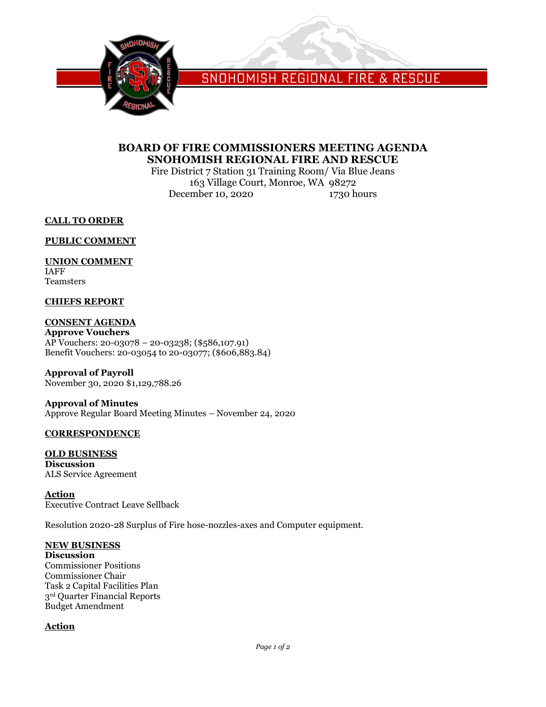

SNOHOMISH REGIONAL FIRE & RESCUE

# **BOARD OF FIRE COMMISSIONERS MEETING AGENDA SNOHOMISH REGIONAL FIRE AND RESCUE**

Fire District 7 Station 31 Training Room/ Via Blue Jeans 163 Village Court, Monroe, WA 98272 December 10, 2020 1730 hours

**CALL TO ORDER**

**PUBLIC COMMENT**

# **UNION COMMENT**

IAFF Teamsters

### **CHIEFS REPORT**

## **CONSENT AGENDA**

**Approve Vouchers** AP Vouchers: 20-03078 – 20-03238; (\$586,107.91) Benefit Vouchers: 20-03054 to 20-03077; (\$606,883.84)

**Approval of Payroll** November 30, 2020 \$1,129,788.26

**Approval of Minutes** Approve Regular Board Meeting Minutes – November 24, 2020

### **CORRESPONDENCE**

#### **OLD BUSINESS Discussion** ALS Service Agreement

**Action** Executive Contract Leave Sellback

Resolution 2020-28 Surplus of Fire hose-nozzles-axes and Computer equipment.

### **NEW BUSINESS**

**Discussion** Commissioner Positions Commissioner Chair Task 2 Capital Facilities Plan 3rd Quarter Financial Reports Budget Amendment

### **Action**